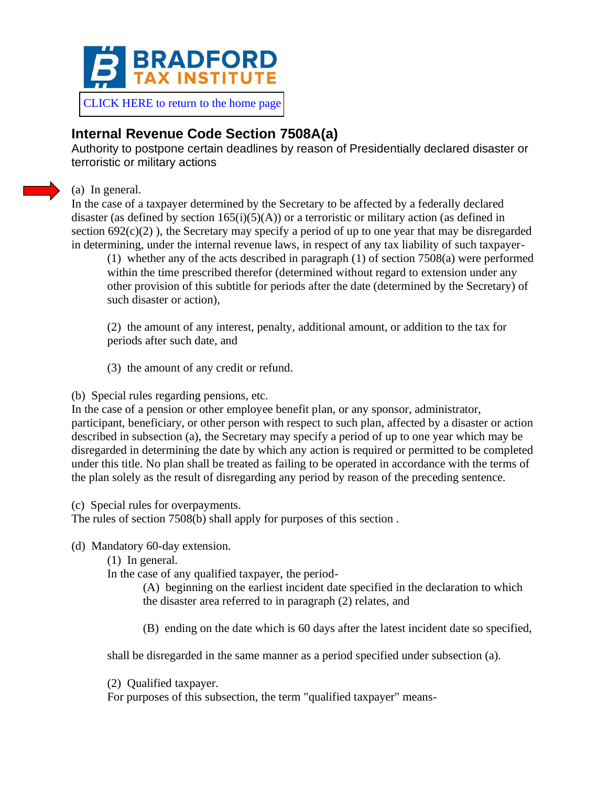

[CLICK HERE to return to the home page](https://www.bradfordtaxinstitute.com)

## **Internal Revenue Code Section 7508A(a)**

Authority to postpone certain deadlines by reason of Presidentially declared disaster or terroristic or military actions

## (a) In general.

In the case of a taxpayer determined by the Secretary to be affected by a federally declared disaster (as defined by section  $165(i)(5)(A)$ ) or a terroristic or military action (as defined in section  $692(c)(2)$ ), the Secretary may specify a period of up to one year that may be disregarded in determining, under the internal revenue laws, in respect of any tax liability of such taxpayer-

(1) whether any of the acts described in paragraph (1) of section 7508(a) were performed within the time prescribed therefor (determined without regard to extension under any other provision of this subtitle for periods after the date (determined by the Secretary) of such disaster or action),

(2) the amount of any interest, penalty, additional amount, or addition to the tax for periods after such date, and

(3) the amount of any credit or refund.

## (b) Special rules regarding pensions, etc.

In the case of a pension or other employee benefit plan, or any sponsor, administrator, participant, beneficiary, or other person with respect to such plan, affected by a disaster or action described in subsection (a), the Secretary may specify a period of up to one year which may be disregarded in determining the date by which any action is required or permitted to be completed under this title. No plan shall be treated as failing to be operated in accordance with the terms of the plan solely as the result of disregarding any period by reason of the preceding sentence.

(c) Special rules for overpayments.

The rules of section 7508(b) shall apply for purposes of this section .

(d) Mandatory 60-day extension.

(1) In general.

In the case of any qualified taxpayer, the period-

(A) beginning on the earliest incident date specified in the declaration to which the disaster area referred to in paragraph (2) relates, and

(B) ending on the date which is 60 days after the latest incident date so specified,

shall be disregarded in the same manner as a period specified under subsection (a).

(2) Qualified taxpayer.

For purposes of this subsection, the term "qualified taxpayer" means-